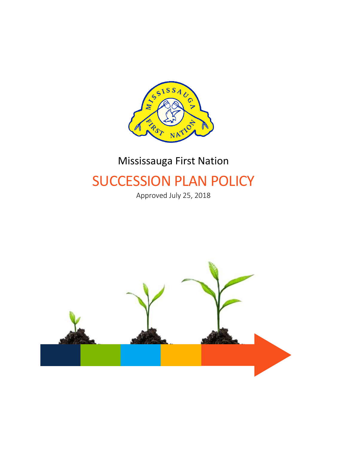

# Mississauga First Nation

# SUCCESSION PLAN POLICY

Approved July 25, 2018

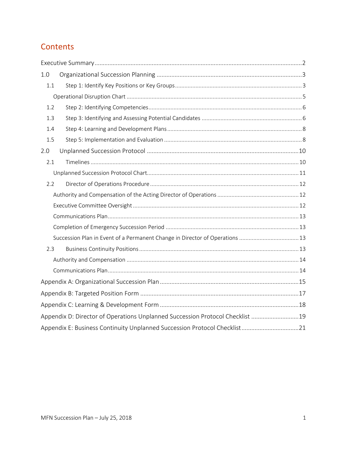### **Contents**

| 1.0 |                                                                               |  |
|-----|-------------------------------------------------------------------------------|--|
| 1.1 |                                                                               |  |
|     |                                                                               |  |
| 1.2 |                                                                               |  |
| 1.3 |                                                                               |  |
| 1.4 |                                                                               |  |
| 1.5 |                                                                               |  |
| 2.0 |                                                                               |  |
| 2.1 |                                                                               |  |
|     |                                                                               |  |
| 2.2 |                                                                               |  |
|     |                                                                               |  |
|     |                                                                               |  |
|     |                                                                               |  |
|     |                                                                               |  |
|     | Succession Plan in Event of a Permanent Change in Director of Operations 13   |  |
| 2.3 |                                                                               |  |
|     |                                                                               |  |
|     |                                                                               |  |
|     |                                                                               |  |
|     |                                                                               |  |
|     |                                                                               |  |
|     | Appendix D: Director of Operations Unplanned Succession Protocol Checklist 19 |  |
|     |                                                                               |  |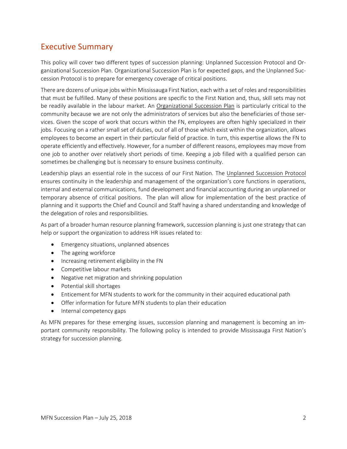### <span id="page-2-0"></span>Executive Summary

This policy will cover two different types of succession planning: Unplanned Succession Protocol and Organizational Succession Plan. Organizational Succession Plan is for expected gaps, and the Unplanned Succession Protocol is to prepare for emergency coverage of critical positions.

There are dozens of unique jobs within Mississauga First Nation, each with a set of roles and responsibilities that must be fulfilled. Many of these positions are specific to the First Nation and, thus, skill sets may not be readily available in the labour market. An Organizational Succession Plan is particularly critical to the community because we are not only the administrators of services but also the beneficiaries of those services. Given the scope of work that occurs within the FN, employees are often highly specialized in their jobs. Focusing on a rather small set of duties, out of all of those which exist within the organization, allows employees to become an expert in their particular field of practice. In turn, this expertise allows the FN to operate efficiently and effectively. However, for a number of different reasons, employees may move from one job to another over relatively short periods of time. Keeping a job filled with a qualified person can sometimes be challenging but is necessary to ensure business continuity.

Leadership plays an essential role in the success of our First Nation. The Unplanned Succession Protocol ensures continuity in the leadership and management of the organization's core functions in operations, internal and external communications, fund development and financial accounting during an unplanned or temporary absence of critical positions. The plan will allow for implementation of the best practice of planning and it supports the Chief and Council and Staff having a shared understanding and knowledge of the delegation of roles and responsibilities.

As part of a broader human resource planning framework, succession planning is just one strategy that can help or support the organization to address HR issues related to:

- Emergency situations, unplanned absences
- The ageing workforce
- Increasing retirement eligibility in the FN
- Competitive labour markets
- Negative net migration and shrinking population
- Potential skill shortages
- Enticement for MFN students to work for the community in their acquired educational path
- Offer information for future MFN students to plan their education
- Internal competency gaps

As MFN prepares for these emerging issues, succession planning and management is becoming an important community responsibility. The following policy is intended to provide Mississauga First Nation's strategy for succession planning.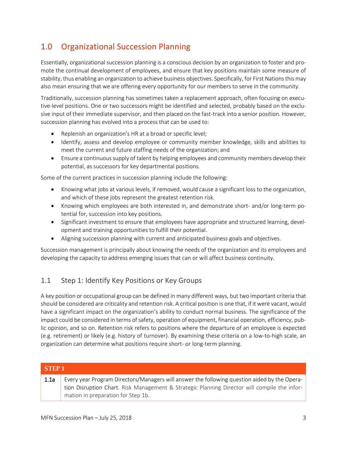### <span id="page-3-0"></span>1.0 Organizational Succession Planning

Essentially, organizational succession planning is a conscious decision by an organization to foster and promote the continual development of employees, and ensure that key positions maintain some measure of stability, thus enabling an organization to achieve business objectives. Specifically, for First Nations this may also mean ensuring that we are offering every opportunity for our members to serve in the community.

Traditionally, succession planning has sometimes taken a replacement approach, often focusing on executive-level positions. One or two successors might be identified and selected, probably based on the exclusive input of their immediate supervisor, and then placed on the fast-track into a senior position. However, succession planning has evolved into a process that can be used to:

- Replenish an organization's HR at a broad or specific level;
- Identify, assess and develop employee or community member knowledge, skills and abilities to meet the current and future staffing needs of the organization; and
- Ensure a continuous supply of talent by helping employees and community members develop their potential, as successors for key departmental positions.

Some of the current practices in succession planning include the following:

- Knowing what jobs at various levels, if removed, would cause a significant loss to the organization, and which of these jobs represent the greatest retention risk.
- Knowing which employees are both interested in, and demonstrate short- and/or long-term potential for, succession into key positions.
- Significant investment to ensure that employees have appropriate and structured learning, development and training opportunities to fulfill their potential.
- Aligning succession planning with current and anticipated business goals and objectives.

Succession management is principally about knowing the needs of the organization and its employees and developing the capacity to address emerging issues that can or will affect business continuity.

#### <span id="page-3-1"></span>1.1 Step 1: Identify Key Positions or Key Groups

A key position or occupational group can be defined in many different ways, but two important criteria that should be considered are criticality and retention risk. A critical position is one that, if it were vacant, would have a significant impact on the organization's ability to conduct normal business. The significance of the impact could be considered in terms of safety, operation of equipment, financial operation, efficiency, public opinion, and so on. Retention risk refers to positions where the departure of an employee is expected (e.g. retirement) or likely (e.g. history of turnover). By examining these criteria on a low-to-high scale, an organization can determine what positions require short- or long-term planning.

| STEP 1 |                                                                                                                                                                                              |  |  |  |  |
|--------|----------------------------------------------------------------------------------------------------------------------------------------------------------------------------------------------|--|--|--|--|
| 1.1a   | Every year Program Directors/Managers will answer the following question aided by the Opera-<br>tion Disruption Chart. Risk Management & Strategic Planning Director will compile the infor- |  |  |  |  |
|        | mation in preparation for Step 1b.                                                                                                                                                           |  |  |  |  |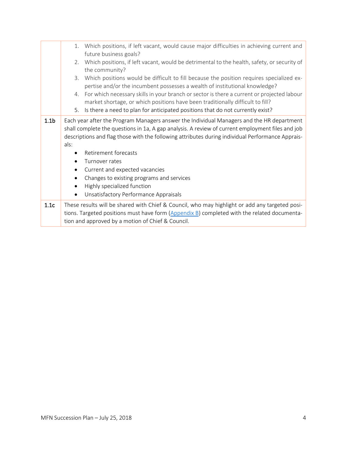|                  | 1.                                                                                                                                                                                                                                                                                                        | Which positions, if left vacant, would cause major difficulties in achieving current and<br>future business goals?                                                                                                                                 |  |  |  |  |  |
|------------------|-----------------------------------------------------------------------------------------------------------------------------------------------------------------------------------------------------------------------------------------------------------------------------------------------------------|----------------------------------------------------------------------------------------------------------------------------------------------------------------------------------------------------------------------------------------------------|--|--|--|--|--|
|                  | 2.                                                                                                                                                                                                                                                                                                        | Which positions, if left vacant, would be detrimental to the health, safety, or security of<br>the community?                                                                                                                                      |  |  |  |  |  |
|                  | 3.                                                                                                                                                                                                                                                                                                        | Which positions would be difficult to fill because the position requires specialized ex-<br>pertise and/or the incumbent possesses a wealth of institutional knowledge?                                                                            |  |  |  |  |  |
|                  | 4.                                                                                                                                                                                                                                                                                                        | For which necessary skills in your branch or sector is there a current or projected labour<br>market shortage, or which positions have been traditionally difficult to fill?                                                                       |  |  |  |  |  |
|                  | 5.                                                                                                                                                                                                                                                                                                        | Is there a need to plan for anticipated positions that do not currently exist?                                                                                                                                                                     |  |  |  |  |  |
| 1.1 <sub>b</sub> | Each year after the Program Managers answer the Individual Managers and the HR department<br>shall complete the questions in 1a, A gap analysis. A review of current employment files and job<br>descriptions and flag those with the following attributes during individual Performance Apprais-<br>als: |                                                                                                                                                                                                                                                    |  |  |  |  |  |
|                  | Retirement forecasts                                                                                                                                                                                                                                                                                      |                                                                                                                                                                                                                                                    |  |  |  |  |  |
|                  | Turnover rates                                                                                                                                                                                                                                                                                            |                                                                                                                                                                                                                                                    |  |  |  |  |  |
|                  | Current and expected vacancies                                                                                                                                                                                                                                                                            |                                                                                                                                                                                                                                                    |  |  |  |  |  |
|                  | Changes to existing programs and services                                                                                                                                                                                                                                                                 |                                                                                                                                                                                                                                                    |  |  |  |  |  |
|                  | $\bullet$                                                                                                                                                                                                                                                                                                 | Highly specialized function                                                                                                                                                                                                                        |  |  |  |  |  |
|                  | $\bullet$                                                                                                                                                                                                                                                                                                 | Unsatisfactory Performance Appraisals                                                                                                                                                                                                              |  |  |  |  |  |
| 1.1c             |                                                                                                                                                                                                                                                                                                           | These results will be shared with Chief & Council, who may highlight or add any targeted posi-<br>tions. Targeted positions must have form (Appendix B) completed with the related documenta-<br>tion and approved by a motion of Chief & Council. |  |  |  |  |  |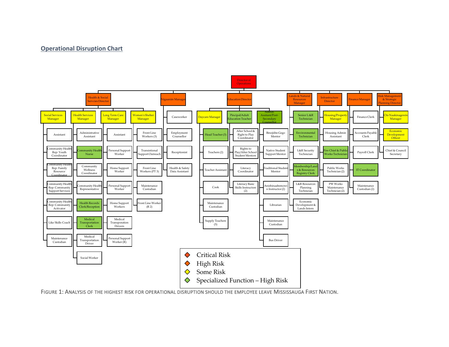#### **Operational Disruption Chart**

<span id="page-5-0"></span>

FIGURE 1: ANALYSIS OF THE HIGHEST RISK FOR OPERATIONAL DISRUPTION SHOULD THE EMPLOYEE LEAVE MISSISSAUGA FIRST NATION.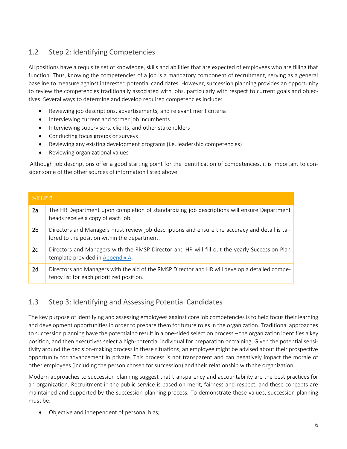### <span id="page-6-0"></span>1.2 Step 2: Identifying Competencies

All positions have a requisite set of knowledge, skills and abilities that are expected of employees who are filling that function. Thus, knowing the competencies of a job is a mandatory component of recruitment, serving as a general baseline to measure against interested potential candidates. However, succession planning provides an opportunity to review the competencies traditionally associated with jobs, particularly with respect to current goals and objectives. Several ways to determine and develop required competencies include:

- Reviewing job descriptions, advertisements, and relevant merit criteria
- Interviewing current and former job incumbents
- Interviewing supervisors, clients, and other stakeholders
- Conducting focus groups or surveys
- Reviewing any existing development programs (i.e. leadership competencies)
- Reviewing organizational values

Although job descriptions offer a good starting point for the identification of competencies, it is important to consider some of the other sources of information listed above.

### **STEP 2** 2a The HR Department upon completion of standardizing job descriptions will ensure Department heads receive a copy of each job. 2b Directors and Managers must review job descriptions and ensure the accuracy and detail is tailored to the position within the department. 2c | Directors and Managers with the RMSP Director and HR will fill out the yearly Succession Plan template provided i[n Appendix A.](#page-15-0) 2d Directors and Managers with the aid of the RMSP Director and HR will develop a detailed competency list for each prioritized position.

### <span id="page-6-1"></span>1.3 Step 3: Identifying and Assessing Potential Candidates

The key purpose of identifying and assessing employees against core job competencies is to help focus their learning and development opportunities in order to prepare them for future roles in the organization. Traditional approaches to succession planning have the potential to result in a one-sided selection process – the organization identifies a key position, and then executives select a high-potential individual for preparation or training. Given the potential sensitivity around the decision-making process in these situations, an employee might be advised about their prospective opportunity for advancement in private. This process is not transparent and can negatively impact the morale of other employees (including the person chosen for succession) and their relationship with the organization.

Modern approaches to succession planning suggest that transparency and accountability are the best practices for an organization. Recruitment in the public service is based on merit, fairness and respect, and these concepts are maintained and supported by the succession planning process. To demonstrate these values, succession planning must be:

• Objective and independent of personal bias;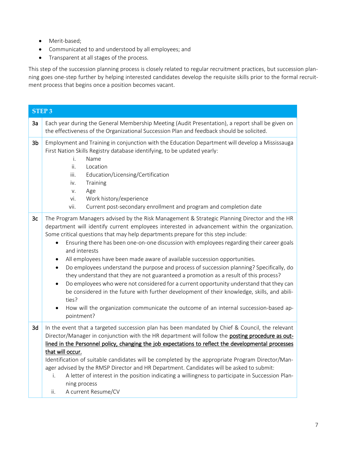- Merit-based;
- Communicated to and understood by all employees; and
- Transparent at all stages of the process.

This step of the succession planning process is closely related to regular recruitment practices, but succession planning goes one-step further by helping interested candidates develop the requisite skills prior to the formal recruitment process that begins once a position becomes vacant.

|                | <b>STEP 3</b>                                                                                                                                                                                                                                                                                                                                                                                                                                                                                                                                                                                                                                                                                                                                                                                                                                                                                                                                                                                                                   |
|----------------|---------------------------------------------------------------------------------------------------------------------------------------------------------------------------------------------------------------------------------------------------------------------------------------------------------------------------------------------------------------------------------------------------------------------------------------------------------------------------------------------------------------------------------------------------------------------------------------------------------------------------------------------------------------------------------------------------------------------------------------------------------------------------------------------------------------------------------------------------------------------------------------------------------------------------------------------------------------------------------------------------------------------------------|
| 3a             | Each year during the General Membership Meeting (Audit Presentation), a report shall be given on<br>the effectiveness of the Organizational Succession Plan and feedback should be solicited.                                                                                                                                                                                                                                                                                                                                                                                                                                                                                                                                                                                                                                                                                                                                                                                                                                   |
| 3 <sub>b</sub> | Employment and Training in conjunction with the Education Department will develop a Mississauga<br>First Nation Skills Registry database identifying, to be updated yearly:<br>i.<br>Name<br>ii.<br>Location<br>iii.<br>Education/Licensing/Certification<br>Training<br>iv.<br>Age<br>V.<br>vi.<br>Work history/experience<br>vii.<br>Current post-secondary enrollment and program and completion date                                                                                                                                                                                                                                                                                                                                                                                                                                                                                                                                                                                                                        |
| 3c             | The Program Managers advised by the Risk Management & Strategic Planning Director and the HR<br>department will identify current employees interested in advancement within the organization.<br>Some critical questions that may help departments prepare for this step include:<br>Ensuring there has been one-on-one discussion with employees regarding their career goals<br>$\bullet$<br>and interests<br>All employees have been made aware of available succession opportunities.<br>$\bullet$<br>Do employees understand the purpose and process of succession planning? Specifically, do<br>$\bullet$<br>they understand that they are not guaranteed a promotion as a result of this process?<br>Do employees who were not considered for a current opportunity understand that they can<br>$\bullet$<br>be considered in the future with further development of their knowledge, skills, and abili-<br>ties?<br>How will the organization communicate the outcome of an internal succession-based ap-<br>pointment? |
| 3d             | In the event that a targeted succession plan has been mandated by Chief & Council, the relevant<br>Director/Manager in conjunction with the HR department will follow the <b>posting procedure as out-</b><br>lined in the Personnel policy, changing the job expectations to reflect the developmental processes<br>that will occur.<br>Identification of suitable candidates will be completed by the appropriate Program Director/Man-<br>ager advised by the RMSP Director and HR Department. Candidates will be asked to submit:<br>A letter of interest in the position indicating a willingness to participate in Succession Plan-<br>i.<br>ning process<br>A current Resume/CV<br>ii.                                                                                                                                                                                                                                                                                                                                   |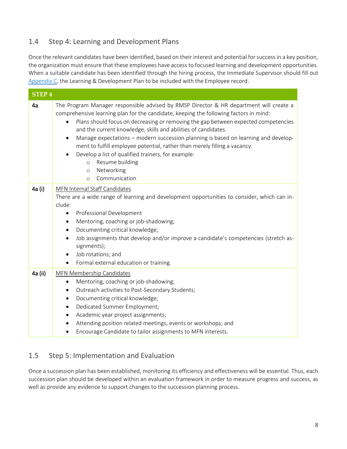#### <span id="page-8-0"></span>1.4 Step 4: Learning and Development Plans

Once the relevant candidates have been identified, based on their interest and potential for success in a key position, the organization must ensure that these employees have access to focused learning and development opportunities. When a suitable candidate has been identified through the hiring process, the Immediate Supervisor should fill out [Appendix C,](#page-18-0) the Learning & Development Plan to be included with the Employee record.

| <b>STEP4</b> |                                                                                                                                                                                                                                                                                                                                                                                                                                                                                                                                                                                                                                                                                 |  |
|--------------|---------------------------------------------------------------------------------------------------------------------------------------------------------------------------------------------------------------------------------------------------------------------------------------------------------------------------------------------------------------------------------------------------------------------------------------------------------------------------------------------------------------------------------------------------------------------------------------------------------------------------------------------------------------------------------|--|
| 4a           | The Program Manager responsible advised by RMSP Director & HR department will create a<br>comprehensive learning plan for the candidate, keeping the following factors in mind:<br>Plans should focus on decreasing or removing the gap between expected competencies<br>$\bullet$<br>and the current knowledge, skills and abilities of candidates.<br>Manage expectations - modern succession planning is based on learning and develop-<br>$\bullet$<br>ment to fulfill employee potential, rather than merely filling a vacancy.<br>Develop a list of qualified trainers, for example:<br>Resume building<br>$\circ$<br>Networking<br>$\Omega$<br>Communication<br>$\Omega$ |  |
| 4a (i)       | MFN Internal Staff Candidates<br>There are a wide range of learning and development opportunities to consider, which can in-<br>clude:<br>Professional Development<br>$\bullet$<br>Mentoring, coaching or job-shadowing;<br>٠<br>Documenting critical knowledge;<br>$\bullet$<br>Job assignments that develop and/or improve a candidate's competencies (stretch as-<br>signments);<br>Job rotations; and<br>Formal external education or training.<br>$\bullet$                                                                                                                                                                                                                |  |
| 4a (ii)      | MFN Membership Candidates<br>Mentoring, coaching or job-shadowing;<br>$\bullet$<br>Outreach activities to Post-Secondary Students;<br>$\bullet$<br>Documenting critical knowledge;<br>Dedicated Summer Employment;<br>$\bullet$<br>Academic year project assignments;<br>$\bullet$<br>Attending position related meetings, events or workshops; and<br>Encourage Candidate to tailor assignments to MFN interests.                                                                                                                                                                                                                                                              |  |

#### <span id="page-8-1"></span>1.5 Step 5: Implementation and Evaluation

Once a succession plan has been established, monitoring its efficiency and effectiveness will be essential. Thus, each succession plan should be developed within an evaluation framework in order to measure progress and success, as well as provide any evidence to support changes to the succession planning process.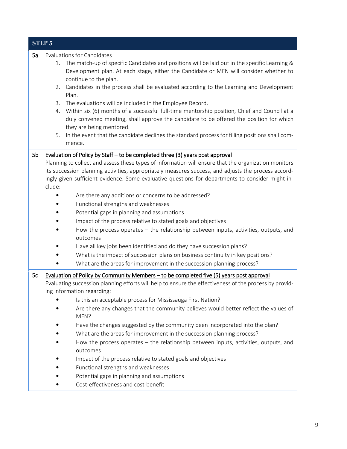|    | <b>STEP 5</b>                                                                                                                                                                                                                                                                                                                                                                                                                                                                                                                                                                                                                                                                                                                                                                                                                                                                                                                                                     |
|----|-------------------------------------------------------------------------------------------------------------------------------------------------------------------------------------------------------------------------------------------------------------------------------------------------------------------------------------------------------------------------------------------------------------------------------------------------------------------------------------------------------------------------------------------------------------------------------------------------------------------------------------------------------------------------------------------------------------------------------------------------------------------------------------------------------------------------------------------------------------------------------------------------------------------------------------------------------------------|
| 5a | <b>Evaluations for Candidates</b><br>The match-up of specific Candidates and positions will be laid out in the specific Learning &<br>1.<br>Development plan. At each stage, either the Candidate or MFN will consider whether to<br>continue to the plan.<br>Candidates in the process shall be evaluated according to the Learning and Development<br>2.<br>Plan.<br>The evaluations will be included in the Employee Record.<br>3.<br>Within six (6) months of a successful full-time mentorship position, Chief and Council at a<br>4.<br>duly convened meeting, shall approve the candidate to be offered the position for which<br>they are being mentored.<br>In the event that the candidate declines the standard process for filling positions shall com-<br>5.<br>mence.                                                                                                                                                                               |
| 5b | Evaluation of Policy by Staff – to be completed three (3) years post approval<br>Planning to collect and assess these types of information will ensure that the organization monitors<br>its succession planning activities, appropriately measures success, and adjusts the process accord-<br>ingly given sufficient evidence. Some evaluative questions for departments to consider might in-<br>clude:<br>Are there any additions or concerns to be addressed?<br>Functional strengths and weaknesses<br>Potential gaps in planning and assumptions<br>Impact of the process relative to stated goals and objectives<br>How the process operates - the relationship between inputs, activities, outputs, and<br>outcomes<br>Have all key jobs been identified and do they have succession plans?<br>What is the impact of succession plans on business continuity in key positions?<br>What are the areas for improvement in the succession planning process? |
| 5c | Evaluation of Policy by Community Members – to be completed five (5) years post approval<br>Evaluating succession planning efforts will help to ensure the effectiveness of the process by provid-<br>ing information regarding:<br>Is this an acceptable process for Mississauga First Nation?<br>Are there any changes that the community believes would better reflect the values of<br>MFN?<br>Have the changes suggested by the community been incorporated into the plan?<br>What are the areas for improvement in the succession planning process?<br>How the process operates - the relationship between inputs, activities, outputs, and<br>outcomes<br>Impact of the process relative to stated goals and objectives<br>Functional strengths and weaknesses<br>Potential gaps in planning and assumptions<br>Cost-effectiveness and cost-benefit                                                                                                        |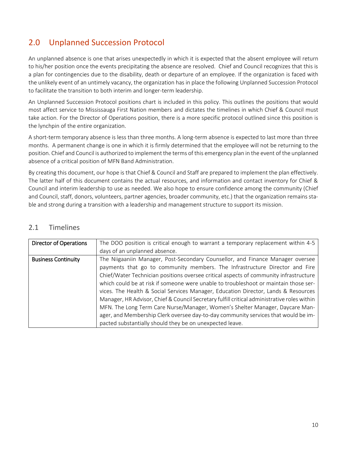### <span id="page-10-0"></span>2.0 Unplanned Succession Protocol

An unplanned absence is one that arises unexpectedly in which it is expected that the absent employee will return to his/her position once the events precipitating the absence are resolved. Chief and Council recognizes that this is a plan for contingencies due to the disability, death or departure of an employee. If the organization is faced with the unlikely event of an untimely vacancy, the organization has in place the following Unplanned Succession Protocol to facilitate the transition to both interim and longer-term leadership.

An Unplanned Succession Protocol positions chart is included in this policy. This outlines the positions that would most affect service to Mississauga First Nation members and dictates the timelines in which Chief & Council must take action. For the Director of Operations position, there is a more specific protocol outlined since this position is the lynchpin of the entire organization.

A short-term temporary absence is less than three months. A long-term absence is expected to last more than three months. A permanent change is one in which it is firmly determined that the employee will not be returning to the position. Chief and Council is authorized to implement the terms of this emergency plan in the event of the unplanned absence of a critical position of MFN Band Administration.

By creating this document, our hope is that Chief & Council and Staff are prepared to implement the plan effectively. The latter half of this document contains the actual resources, and information and contact inventory for Chief & Council and interim leadership to use as needed. We also hope to ensure confidence among the community (Chief and Council, staff, donors, volunteers, partner agencies, broader community, etc.) that the organization remains stable and strong during a transition with a leadership and management structure to support its mission.

| <b>Director of Operations</b> | The DOO position is critical enough to warrant a temporary replacement within 4-5           |
|-------------------------------|---------------------------------------------------------------------------------------------|
|                               | days of an unplanned absence.                                                               |
| <b>Business Continuity</b>    | The Niigaaniin Manager, Post-Secondary Counsellor, and Finance Manager oversee              |
|                               | payments that go to community members. The Infrastructure Director and Fire                 |
|                               | Chief/Water Technician positions oversee critical aspects of community infrastructure       |
|                               | which could be at risk if someone were unable to troubleshoot or maintain those ser-        |
|                               | vices. The Health & Social Services Manager, Education Director, Lands & Resources          |
|                               | Manager, HR Advisor, Chief & Council Secretary fulfill critical administrative roles within |
|                               | MFN. The Long Term Care Nurse/Manager, Women's Shelter Manager, Daycare Man-                |
|                               | ager, and Membership Clerk oversee day-to-day community services that would be im-          |
|                               | pacted substantially should they be on unexpected leave.                                    |

#### <span id="page-10-1"></span>2.1 Timelines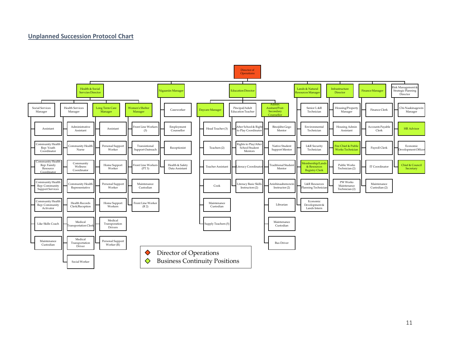#### **Unplanned Succession Protocol Chart**

<span id="page-11-0"></span>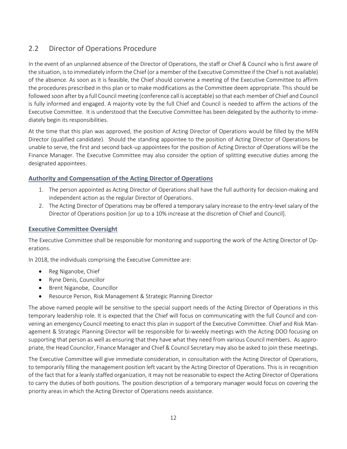### <span id="page-12-0"></span>2.2 Director of Operations Procedure

In the event of an unplanned absence of the Director of Operations, the staff or Chief & Council who is first aware of the situation, is to immediately inform the Chief (or a member of the Executive Committee if the Chief is not available) of the absence. As soon as it is feasible, the Chief should convene a meeting of the Executive Committee to affirm the procedures prescribed in this plan or to make modifications as the Committee deem appropriate. This should be followed soon after by a full Council meeting (conference call is acceptable) so that each member of Chief and Council is fully informed and engaged. A majority vote by the full Chief and Council is needed to affirm the actions of the Executive Committee. It is understood that the Executive Committee has been delegated by the authority to immediately begin its responsibilities.

At the time that this plan was approved, the position of Acting Director of Operations would be filled by the MFN Director (qualified candidate). Should the standing appointee to the position of Acting Director of Operations be unable to serve, the first and second back-up appointees for the position of Acting Director of Operations will be the Finance Manager. The Executive Committee may also consider the option of splitting executive duties among the designated appointees.

#### <span id="page-12-1"></span>**Authority and Compensation of the Acting Director of Operations**

- 1. The person appointed as Acting Director of Operations shall have the full authority for decision-making and independent action as the regular Director of Operations.
- 2. The Acting Director of Operations may be offered a temporary salary increase to the entry-level salary of the Director of Operations position [or up to a 10% increase at the discretion of Chief and Council].

#### <span id="page-12-2"></span>**Executive Committee Oversight**

The Executive Committee shall be responsible for monitoring and supporting the work of the Acting Director of Operations.

In 2018, the individuals comprising the Executive Committee are:

- Reg Niganobe, Chief
- Ryne Denis, Councillor
- Brent Niganobe, Councillor
- Resource Person, Risk Management & Strategic Planning Director

The above named people will be sensitive to the special support needs of the Acting Director of Operations in this temporary leadership role. It is expected that the Chief will focus on communicating with the full Council and convening an emergency Council meeting to enact this plan in support of the Executive Committee. Chief and Risk Management & Strategic Planning Director will be responsible for bi-weekly meetings with the Acting DOO focusing on supporting that person as well as ensuring that they have what they need from various Council members. As appropriate, the Head Councilor, Finance Manager and Chief & Council Secretary may also be asked to join these meetings.

The Executive Committee will give immediate consideration, in consultation with the Acting Director of Operations, to temporarily filling the management position left vacant by the Acting Director of Operations. This is in recognition of the fact that for a leanly staffed organization, it may not be reasonable to expect the Acting Director of Operations to carry the duties of both positions. The position description of a temporary manager would focus on covering the priority areas in which the Acting Director of Operations needs assistance.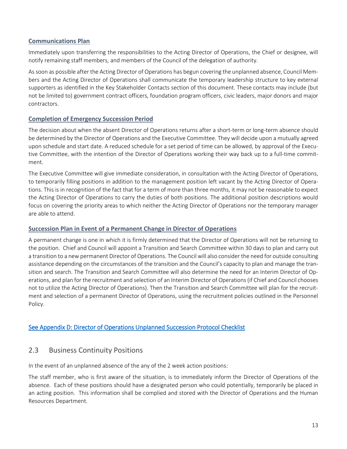#### <span id="page-13-0"></span>**Communications Plan**

Immediately upon transferring the responsibilities to the Acting Director of Operations, the Chief or designee, will notify remaining staff members, and members of the Council of the delegation of authority.

As soon as possible after the Acting Director of Operations has begun covering the unplanned absence, Council Members and the Acting Director of Operations shall communicate the temporary leadership structure to key external supporters as identified in the Key Stakeholder Contacts section of this document. These contacts may include (but not be limited to) government contract officers, foundation program officers, civic leaders, major donors and major contractors.

#### <span id="page-13-1"></span>**Completion of Emergency Succession Period**

The decision about when the absent Director of Operations returns after a short-term or long-term absence should be determined by the Director of Operations and the Executive Committee. They will decide upon a mutually agreed upon schedule and start date. A reduced schedule for a set period of time can be allowed, by approval of the Executive Committee, with the intention of the Director of Operations working their way back up to a full-time commitment.

The Executive Committee will give immediate consideration, in consultation with the Acting Director of Operations, to temporarily filling positions in addition to the management position left vacant by the Acting Director of Operations. This is in recognition of the fact that for a term of more than three months, it may not be reasonable to expect the Acting Director of Operations to carry the duties of both positions. The additional position descriptions would focus on covering the priority areas to which neither the Acting Director of Operations nor the temporary manager are able to attend.

#### <span id="page-13-2"></span>**Succession Plan in Event of a Permanent Change in Director of Operations**

A permanent change is one in which it is firmly determined that the Director of Operations will not be returning to the position. Chief and Council will appoint a Transition and Search Committee within 30 days to plan and carry out a transition to a new permanent Director of Operations. The Council will also consider the need for outside consulting assistance depending on the circumstances of the transition and the Council's capacity to plan and manage the transition and search. The Transition and Search Committee will also determine the need for an Interim Director of Operations, and plan for the recruitment and selection of an Interim Director of Operations (if Chief and Council chooses not to utilize the Acting Director of Operations). Then the Transition and Search Committee will plan for the recruitment and selection of a permanent Director of Operations, using the recruitment policies outlined in the Personnel Policy.

#### <span id="page-13-3"></span>[See Appendix D: Director of Operations Unplanned Succession Protocol Checklist](#page-19-0)

#### 2.3 Business Continuity Positions

In the event of an unplanned absence of the any of the 2 week action positions:

The staff member, who is first aware of the situation, is to immediately inform the Director of Operations of the absence. Each of these positions should have a designated person who could potentially, temporarily be placed in an acting position. This information shall be complied and stored with the Director of Operations and the Human Resources Department.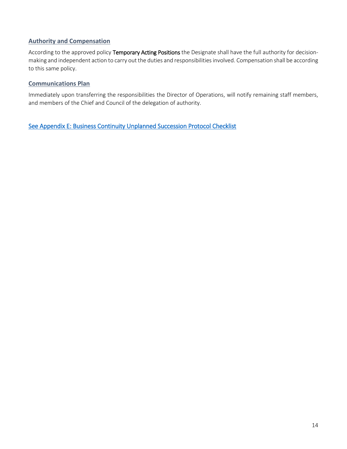#### <span id="page-14-0"></span>**Authority and Compensation**

According to the approved policy Temporary Acting Positions the Designate shall have the full authority for decisionmaking and independent action to carry out the duties and responsibilities involved. Compensation shall be according to this same policy.

#### <span id="page-14-1"></span>**Communications Plan**

Immediately upon transferring the responsibilities the Director of Operations, will notify remaining staff members, and members of the Chief and Council of the delegation of authority.

[See Appendix E: Business Continuity Unplanned Succession Protocol Checklist](#page-21-0)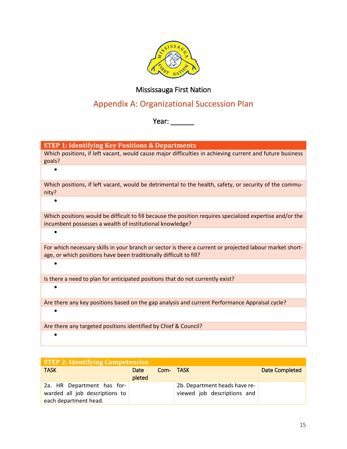

#### Mississauga First Nation

### Appendix A: Organizational Succession Plan

Year: \_\_\_\_\_\_\_

<span id="page-15-0"></span>**STEP 1: Identifying Key Positions & Departments**

|        | Which positions, if left vacant, would cause major difficulties in achieving current and future business |  |  |
|--------|----------------------------------------------------------------------------------------------------------|--|--|
| goals? |                                                                                                          |  |  |
|        |                                                                                                          |  |  |

Which positions, if left vacant, would be detrimental to the health, safety, or security of the community?

•

•

•

Which positions would be difficult to fill because the position requires specialized expertise and/or the incumbent possesses a wealth of institutional knowledge?

For which necessary skills in your branch or sector is there a current or projected labour market shortage, or which positions have been traditionally difficult to fill?

Is there a need to plan for anticipated positions that do not currently exist?

•

•

Are there any key positions based on the gap analysis and current Performance Appraisal cycle?

Are there any targeted positions identified by Chief & Council?

•

| <b>STEP 2: Identifying Competencies</b> |        |      |                               |                       |
|-----------------------------------------|--------|------|-------------------------------|-----------------------|
| <b>TASK</b>                             | Date   | Com- | <b>TASK</b>                   | <b>Date Completed</b> |
|                                         | pleted |      |                               |                       |
| 2a. HR Department has for-              |        |      | 2b. Department heads have re- |                       |
| warded all job descriptions to          |        |      | viewed job descriptions and   |                       |
| each department head.                   |        |      |                               |                       |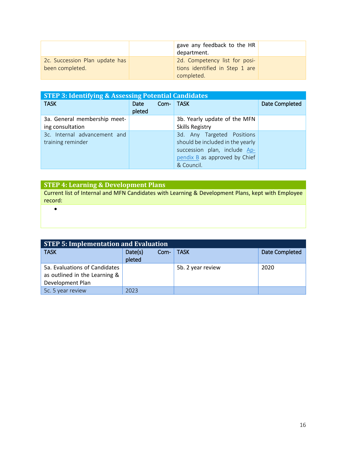|                                                   | gave any feedback to the HR<br>department.                                    |  |
|---------------------------------------------------|-------------------------------------------------------------------------------|--|
| 2c. Succession Plan update has<br>been completed. | 2d. Competency list for posi-<br>tions identified in Step 1 are<br>completed. |  |

| <b>STEP 3: Identifying &amp; Assessing Potential Candidates</b> |                        |                                                                                                                                               |                |  |
|-----------------------------------------------------------------|------------------------|-----------------------------------------------------------------------------------------------------------------------------------------------|----------------|--|
| <b>TASK</b>                                                     | Com-<br>Date<br>pleted | <b>TASK</b>                                                                                                                                   | Date Completed |  |
| 3a. General membership meet-<br>ing consultation                |                        | 3b. Yearly update of the MFN<br><b>Skills Registry</b>                                                                                        |                |  |
| 3c. Internal advancement and<br>training reminder               |                        | 3d. Any Targeted Positions<br>should be included in the yearly<br>succession plan, include Ap-<br>pendix B as approved by Chief<br>& Council. |                |  |

| <b>STEP 4: Learning &amp; Development Plans</b>                                                   |
|---------------------------------------------------------------------------------------------------|
| Current list of Internal and MFN Candidates with Learning & Development Plans, kept with Employee |
| record:                                                                                           |
|                                                                                                   |

| <b>STEP 5: Implementation and Evaluation</b> |                   |      |                   |                       |  |
|----------------------------------------------|-------------------|------|-------------------|-----------------------|--|
| <b>TASK</b>                                  | Date(s)<br>pleted | Com- | TASK              | <b>Date Completed</b> |  |
| 5a. Evaluations of Candidates                |                   |      | 5b. 2 year review | 2020                  |  |
| as outlined in the Learning &                |                   |      |                   |                       |  |
| Development Plan                             |                   |      |                   |                       |  |
| 5c. 5 year review                            | 2023              |      |                   |                       |  |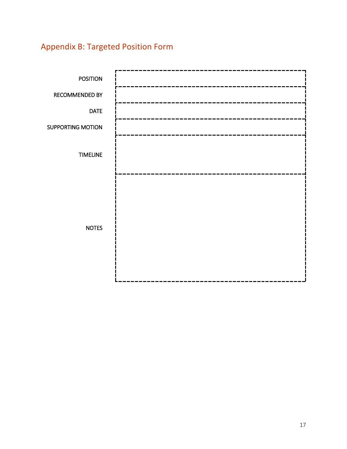## <span id="page-17-0"></span>Appendix B: Targeted Position Form

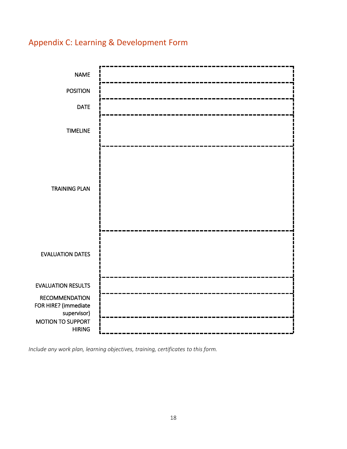### <span id="page-18-0"></span>Appendix C: Learning & Development Form



*Include any work plan, learning objectives, training, certificates to this form.*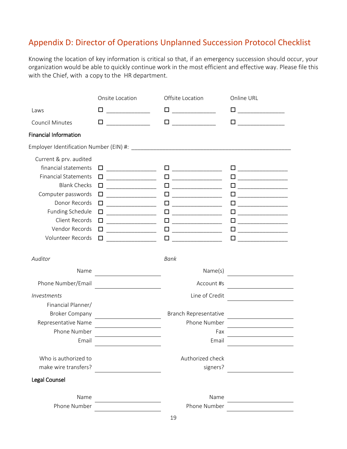### <span id="page-19-0"></span>Appendix D: Director of Operations Unplanned Succession Protocol Checklist

Knowing the location of key information is critical so that, if an emergency succession should occur, your organization would be able to quickly continue work in the most efficient and effective way. Please file this with the Chief, with a copy to the HR department.

|                                                                           | Onsite Location                                                                                                                                                                                                                      | Offsite Location                                                                                                                                                                  | Online URL                                                                                                                                                                                                                                                                                                                                                                                                                  |
|---------------------------------------------------------------------------|--------------------------------------------------------------------------------------------------------------------------------------------------------------------------------------------------------------------------------------|-----------------------------------------------------------------------------------------------------------------------------------------------------------------------------------|-----------------------------------------------------------------------------------------------------------------------------------------------------------------------------------------------------------------------------------------------------------------------------------------------------------------------------------------------------------------------------------------------------------------------------|
| Laws                                                                      | □<br><u> 1999 - Johann Barnett, fransk politiker</u>                                                                                                                                                                                 | □                                                                                                                                                                                 | □                                                                                                                                                                                                                                                                                                                                                                                                                           |
| <b>Council Minutes</b>                                                    | П                                                                                                                                                                                                                                    | $\Box$                                                                                                                                                                            | $\begin{tabular}{ccccc} \multicolumn{2}{c }{\textbf{1} & \textbf{2} & \textbf{3} & \textbf{4} & \textbf{5} & \textbf{5} & \textbf{6} & \textbf{7} & \textbf{8} & \textbf{9} & \textbf{10} & \textbf{10} & \textbf{10} & \textbf{10} & \textbf{10} & \textbf{10} & \textbf{10} & \textbf{10} & \textbf{10} & \textbf{10} & \textbf{10} & \textbf{10} & \textbf{10} & \textbf{10} & \textbf{10} & \textbf{10} & \textbf$<br>□ |
| <b>Financial Information</b>                                              |                                                                                                                                                                                                                                      |                                                                                                                                                                                   |                                                                                                                                                                                                                                                                                                                                                                                                                             |
|                                                                           |                                                                                                                                                                                                                                      |                                                                                                                                                                                   |                                                                                                                                                                                                                                                                                                                                                                                                                             |
| Current & prv. audited<br>financial statements                            | □                                                                                                                                                                                                                                    | $\begin{tabular}{ c c c c } \hline \quad \quad & \quad \quad & \quad \quad & \quad \quad \\ \hline \quad \quad & \quad \quad & \quad \quad & \quad \quad \\ \hline \end{tabular}$ | $\begin{tabular}{ c c c c } \hline \quad \quad & \quad \quad & \quad \quad & \quad \quad \\ \hline \quad \quad & \quad \quad & \quad \quad & \quad \quad \\ \hline \end{tabular}$                                                                                                                                                                                                                                           |
| <b>Financial Statements</b><br><b>Blank Checks</b>                        | □<br>$\Box$                                                                                                                                                                                                                          | $\Box$<br>$\Box$                                                                                                                                                                  | <u> 1980 - Jan Barnett, prestavlja po</u>                                                                                                                                                                                                                                                                                                                                                                                   |
| Computer passwords<br>Donor Records                                       | □<br>$\Box$                                                                                                                                                                                                                          | $\Box$<br>$\Box$                                                                                                                                                                  |                                                                                                                                                                                                                                                                                                                                                                                                                             |
| Funding Schedule<br>Client Records<br>Vendor Records<br>Volunteer Records | $\Box$<br>□<br>□<br>$\Box$                                                                                                                                                                                                           | $\Box$<br>$\Box$<br>$\Box$<br>$\Box$                                                                                                                                              | □                                                                                                                                                                                                                                                                                                                                                                                                                           |
| Auditor                                                                   |                                                                                                                                                                                                                                      | Bank                                                                                                                                                                              |                                                                                                                                                                                                                                                                                                                                                                                                                             |
| Name<br>Phone Number/Email                                                | <u> 1990 - Johann Barbara, martin a</u>                                                                                                                                                                                              | Name(s)<br>Account #s                                                                                                                                                             | <u> Andrew Maria (1989)</u>                                                                                                                                                                                                                                                                                                                                                                                                 |
| Investments<br>Financial Planner/                                         | <u>and the state of the state of the state of the state of the state of the state of the state of the state of the state of the state of the state of the state of the state of the state of the state of the state of the state</u> | Line of Credit                                                                                                                                                                    |                                                                                                                                                                                                                                                                                                                                                                                                                             |
| <b>Broker Company</b><br>Representative Name                              |                                                                                                                                                                                                                                      | Branch Representative<br>Phone Number                                                                                                                                             |                                                                                                                                                                                                                                                                                                                                                                                                                             |
| Phone Number<br>Email                                                     | <u> 1989 - Johann Barbara, martin a</u>                                                                                                                                                                                              | Fax<br>Email                                                                                                                                                                      | <u> 1989 - John Stein, Amerikaansk politiker (</u>                                                                                                                                                                                                                                                                                                                                                                          |
| Who is authorized to<br>make wire transfers?                              |                                                                                                                                                                                                                                      | Authorized check<br>signers?                                                                                                                                                      |                                                                                                                                                                                                                                                                                                                                                                                                                             |
| Legal Counsel                                                             |                                                                                                                                                                                                                                      |                                                                                                                                                                                   |                                                                                                                                                                                                                                                                                                                                                                                                                             |
| Name<br>Phone Number                                                      |                                                                                                                                                                                                                                      | Name<br>Phone Number                                                                                                                                                              |                                                                                                                                                                                                                                                                                                                                                                                                                             |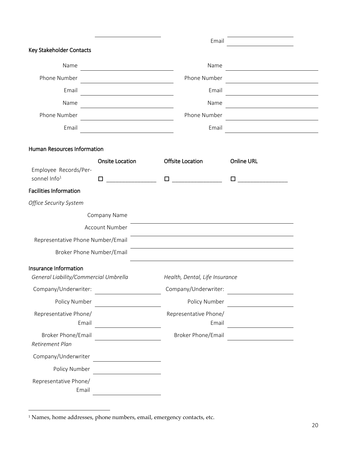|                                                                |                                                      | Email                                   |                   |
|----------------------------------------------------------------|------------------------------------------------------|-----------------------------------------|-------------------|
| Key Stakeholder Contacts                                       |                                                      |                                         |                   |
| Name                                                           | <u> 1989 - Johann Stein, Amerikaansk politiker (</u> | Name                                    |                   |
| Phone Number                                                   |                                                      | Phone Number                            |                   |
| Email                                                          |                                                      | Email                                   |                   |
| Name                                                           |                                                      | Name                                    |                   |
| Phone Number                                                   |                                                      | Phone Number                            |                   |
| Email                                                          |                                                      | Email                                   |                   |
| Human Resources Information                                    |                                                      |                                         |                   |
| Employee Records/Per-                                          | <b>Onsite Location</b>                               | <b>Offsite Location</b>                 | <b>Online URL</b> |
| sonnel Info <sup>1</sup>                                       | 0                                                    | $\Box$ and the set of $\Box$ and $\Box$ | $\Box$            |
| <b>Facilities Information</b>                                  |                                                      |                                         |                   |
| Office Security System                                         |                                                      |                                         |                   |
|                                                                | Company Name                                         |                                         |                   |
|                                                                | <b>Account Number</b>                                |                                         |                   |
| Representative Phone Number/Email                              |                                                      |                                         |                   |
| Broker Phone Number/Email                                      |                                                      |                                         |                   |
| Insurance Information<br>General Liability/Commercial Umbrella |                                                      | Health, Dental, Life Insurance          |                   |
| Company/Underwriter:                                           |                                                      | Company/Underwriter:                    |                   |
| Policy Number                                                  |                                                      | Policy Number                           |                   |
| Representative Phone/<br>Email                                 |                                                      | Representative Phone/<br>Email          |                   |
| <b>Broker Phone/Email</b><br>Retirement Plan                   |                                                      | Broker Phone/Email                      |                   |
| Company/Underwriter                                            |                                                      |                                         |                   |
| Policy Number                                                  |                                                      |                                         |                   |
| Representative Phone/<br>Email                                 |                                                      |                                         |                   |

 $\overline{a}$ 

<sup>1</sup> Names, home addresses, phone numbers, email, emergency contacts, etc.